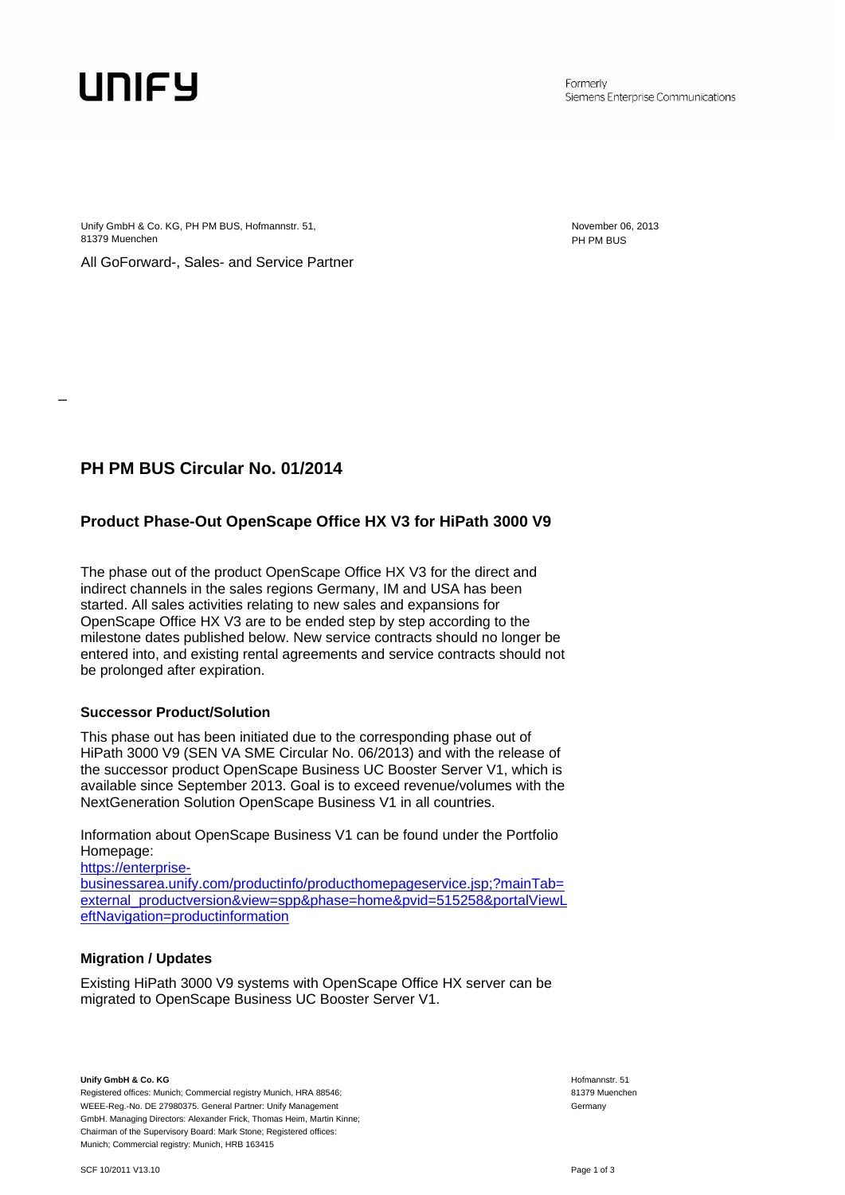## UNIFY

\_

Formerly Siemens Enterprise Communications

Unify GmbH & Co. KG, PH PM BUS, Hofmannstr. 51, November 06, 2013 81379 Muenchen PH PM BUS

All GoForward-, Sales- and Service Partner

## **PH PM BUS Circular No. 01/2014**

## **Product Phase-Out OpenScape Office HX V3 for HiPath 3000 V9**

The phase out of the product OpenScape Office HX V3 for the direct and indirect channels in the sales regions Germany, IM and USA has been started. All sales activities relating to new sales and expansions for OpenScape Office HX V3 are to be ended step by step according to the milestone dates published below. New service contracts should no longer be entered into, and existing rental agreements and service contracts should not be prolonged after expiration.

#### **Successor Product/Solution**

This phase out has been initiated due to the corresponding phase out of HiPath 3000 V9 (SEN VA SME Circular No. 06/2013) and with the release of the successor product OpenScape Business UC Booster Server V1, which is available since September 2013. Goal is to exceed revenue/volumes with the NextGeneration Solution OpenScape Business V1 in all countries.

Information about OpenScape Business V1 can be found under the Portfolio Homepage:

[https://enterprise](https://enterprise-businessarea.unify.com/productinfo/producthomepageservice.jsp;?mainTab=external_productversion&view=spp&phase=home&pvid=515258&portalViewLeftNavigation=productinformation)[businessarea.unify.com/productinfo/producthomepageservice.jsp;?mainTab=](https://enterprise-businessarea.unify.com/productinfo/producthomepageservice.jsp;?mainTab=external_productversion&view=spp&phase=home&pvid=515258&portalViewLeftNavigation=productinformation) [external\\_productversion&view=spp&phase=home&pvid=515258&portalViewL](https://enterprise-businessarea.unify.com/productinfo/producthomepageservice.jsp;?mainTab=external_productversion&view=spp&phase=home&pvid=515258&portalViewLeftNavigation=productinformation) [eftNavigation=productinformation](https://enterprise-businessarea.unify.com/productinfo/producthomepageservice.jsp;?mainTab=external_productversion&view=spp&phase=home&pvid=515258&portalViewLeftNavigation=productinformation)

#### **Migration / Updates**

Existing HiPath 3000 V9 systems with OpenScape Office HX server can be migrated to OpenScape Business UC Booster Server V1.

**Unify GmbH & Co. KG** 

Registered offices: Munich; Commercial registry Munich, HRA 88546; WEEE-Reg.-No. DE 27980375. General Partner: Unify Management GmbH. Managing Directors: Alexander Frick, Thomas Heim, Martin Kinne; Chairman of the Supervisory Board: Mark Stone; Registered offices: Munich; Commercial registry: Munich, HRB 163415

 Hofmannstr. 51 81379 Muenchen Germany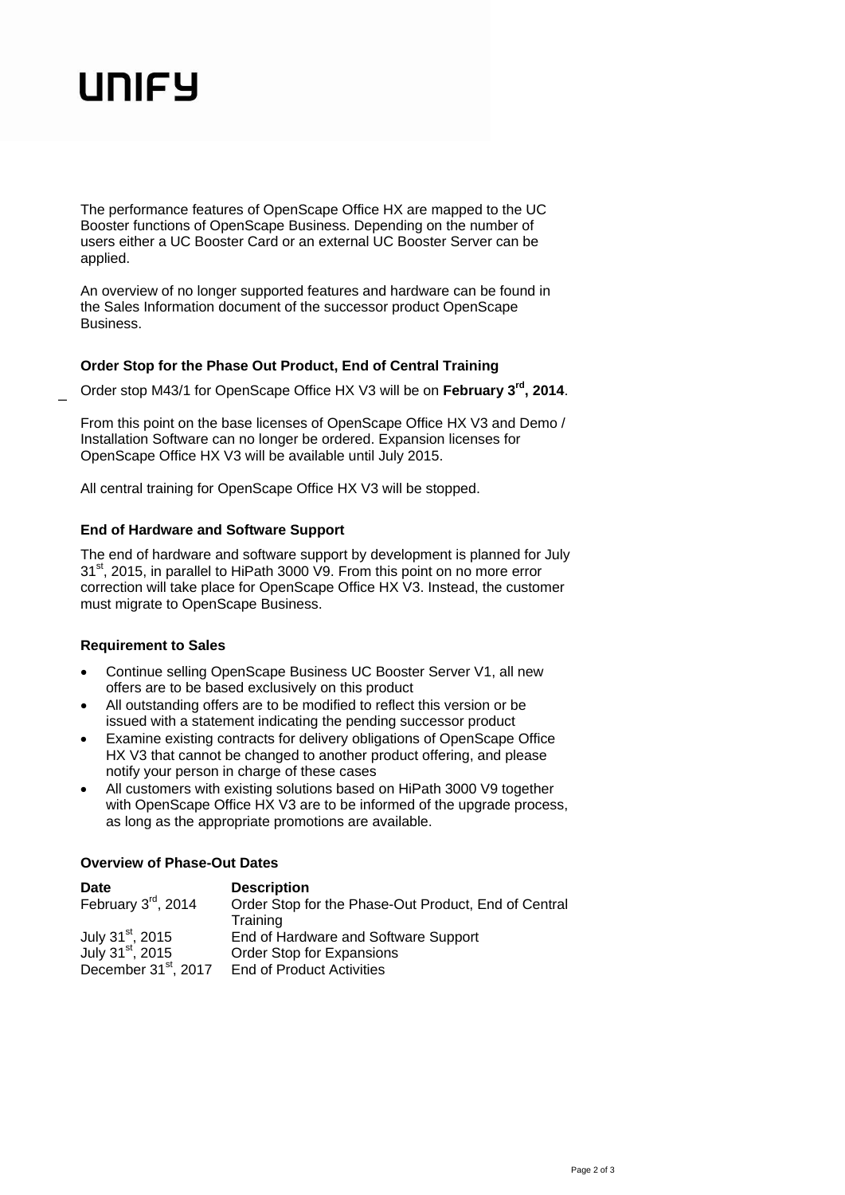# UNIFY

\_

The performance features of OpenScape Office HX are mapped to the UC Booster functions of OpenScape Business. Depending on the number of users either a UC Booster Card or an external UC Booster Server can be applied.

An overview of no longer supported features and hardware can be found in the Sales Information document of the successor product OpenScape **Business** 

#### **Order Stop for the Phase Out Product, End of Central Training**

Order stop M43/1 for OpenScape Office HX V3 will be on **February 3rd, 2014**.

From this point on the base licenses of OpenScape Office HX V3 and Demo / Installation Software can no longer be ordered. Expansion licenses for OpenScape Office HX V3 will be available until July 2015.

All central training for OpenScape Office HX V3 will be stopped.

#### **End of Hardware and Software Support**

The end of hardware and software support by development is planned for July 31<sup>st</sup>, 2015, in parallel to HiPath 3000 V9. From this point on no more error correction will take place for OpenScape Office HX V3. Instead, the customer must migrate to OpenScape Business.

#### **Requirement to Sales**

- Continue selling OpenScape Business UC Booster Server V1, all new offers are to be based exclusively on this product
- All outstanding offers are to be modified to reflect this version or be issued with a statement indicating the pending successor product
- Examine existing contracts for delivery obligations of OpenScape Office HX V3 that cannot be changed to another product offering, and please notify your person in charge of these cases
- All customers with existing solutions based on HiPath 3000 V9 together with OpenScape Office HX V3 are to be informed of the upgrade process, as long as the appropriate promotions are available.

#### **Overview of Phase-Out Dates**

| <b>Date</b>                                               | <b>Description</b>                                               |
|-----------------------------------------------------------|------------------------------------------------------------------|
| February 3rd, 2014                                        | Order Stop for the Phase-Out Product, End of Central<br>Training |
| July 31 <sup>st</sup> , 2015                              | End of Hardware and Software Support                             |
| July $31^{st}$ , 2015<br>December 31 <sup>st</sup> , 2017 | Order Stop for Expansions<br><b>End of Product Activities</b>    |